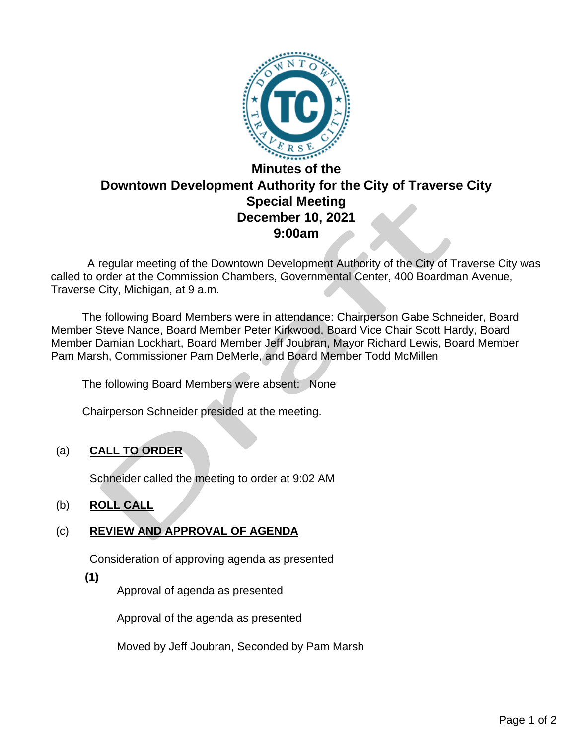

 A regular meeting of the Downtown Development Authority of the City of Traverse City was called to order at the Commission Chambers, Governmental Center, 400 Boardman Avenue, Traverse City, Michigan, at 9 a.m.

The following Board Members were in attendance: Chairperson Gabe Schneider, Board Member Steve Nance, Board Member Peter Kirkwood, Board Vice Chair Scott Hardy, Board Member Damian Lockhart, Board Member Jeff Joubran, Mayor Richard Lewis, Board Member Pam Marsh, Commissioner Pam DeMerle, and Board Member Todd McMillen

The following Board Members were absent: None

Chairperson Schneider presided at the meeting.

# (a) **CALL TO ORDER**

Schneider called the meeting to order at 9:02 AM

# (b) **ROLL CALL**

# (c) **REVIEW AND APPROVAL OF AGENDA**

Consideration of approving agenda as presented

**(1)**

Approval of agenda as presented

Approval of the agenda as presented

Moved by Jeff Joubran, Seconded by Pam Marsh